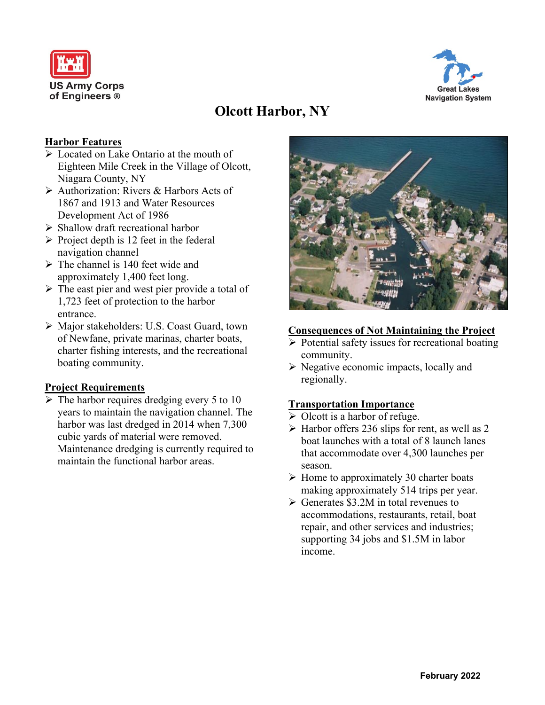



# **Olcott Harbor, NY**

# **Harbor Features**

- ➢ Located on Lake Ontario at the mouth of Eighteen Mile Creek in the Village of Olcott, Niagara County, NY
- ➢ Authorization: Rivers & Harbors Acts of 1867 and 1913 and Water Resources Development Act of 1986
- ➢ Shallow draft recreational harbor
- $\triangleright$  Project depth is 12 feet in the federal navigation channel
- $\triangleright$  The channel is 140 feet wide and approximately 1,400 feet long.
- ➢ The east pier and west pier provide a total of 1,723 feet of protection to the harbor entrance.
- ➢ Major stakeholders: U.S. Coast Guard, town of Newfane, private marinas, charter boats, charter fishing interests, and the recreational boating community.

## **Project Requirements**

 $\triangleright$  The harbor requires dredging every 5 to 10 years to maintain the navigation channel. The harbor was last dredged in 2014 when 7,300 cubic yards of material were removed. Maintenance dredging is currently required to maintain the functional harbor areas.



#### **Consequences of Not Maintaining the Project**

- ➢ Potential safety issues for recreational boating community.
- ➢ Negative economic impacts, locally and regionally.

## **Transportation Importance**

- $\triangleright$  Olcott is a harbor of refuge.
- $\triangleright$  Harbor offers 236 slips for rent, as well as 2 boat launches with a total of 8 launch lanes that accommodate over 4,300 launches per season.
- $\triangleright$  Home to approximately 30 charter boats making approximately 514 trips per year.
- $\triangleright$  Generates \$3.2M in total revenues to accommodations, restaurants, retail, boat repair, and other services and industries; supporting 34 jobs and \$1.5M in labor income.